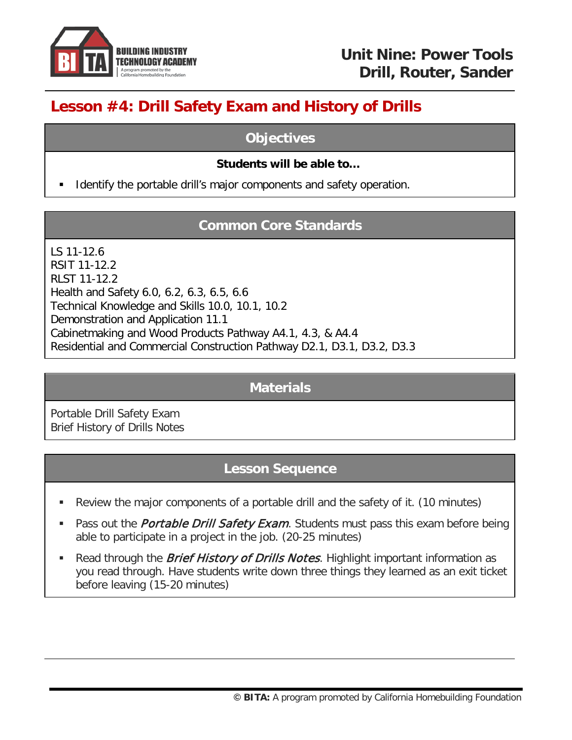

# **Lesson #4: Drill Safety Exam and History of Drills**

### **Objectives**

#### **Students will be able to…**

Identify the portable drill's major components and safety operation.

## **Common Core Standards**

LS 11-12.6 RSIT 11-12.2 RLST 11-12.2 Health and Safety 6.0, 6.2, 6.3, 6.5, 6.6 Technical Knowledge and Skills 10.0, 10.1, 10.2 Demonstration and Application 11.1 Cabinetmaking and Wood Products Pathway A4.1, 4.3, & A4.4 Residential and Commercial Construction Pathway D2.1, D3.1, D3.2, D3.3

### **Materials**

Portable Drill Safety Exam Brief History of Drills Notes

## **Lesson Sequence**

- Review the major components of a portable drill and the safety of it. (10 minutes)
- Pass out the *Portable Drill Safety Exam*. Students must pass this exam before being able to participate in a project in the job. (20-25 minutes)
- Read through the *Brief History of Drills Notes*. Highlight important information as you read through. Have students write down three things they learned as an exit ticket before leaving (15-20 minutes)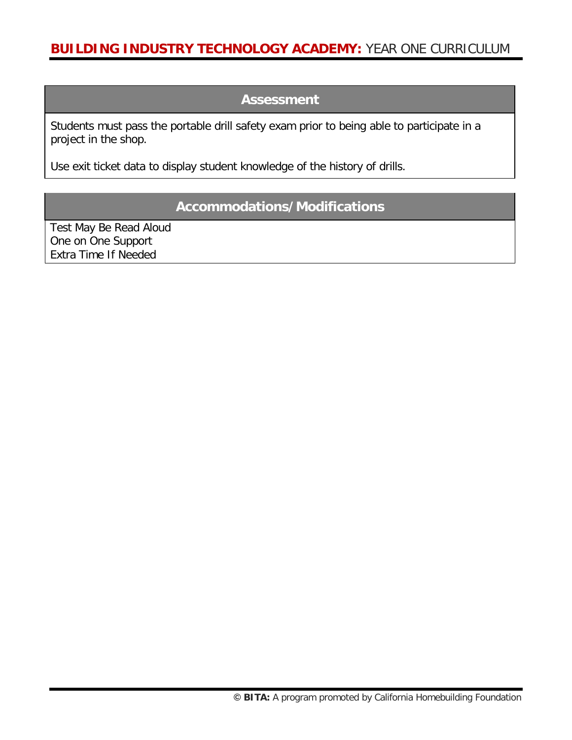### **Assessment**

Students must pass the portable drill safety exam prior to being able to participate in a project in the shop.

Use exit ticket data to display student knowledge of the history of drills.

### **Accommodations/Modifications**

Test May Be Read Aloud One on One Support Extra Time If Needed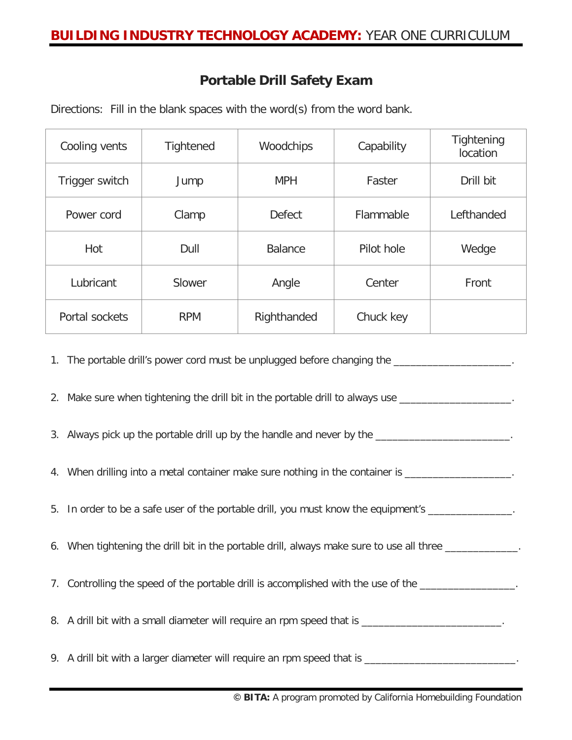### **Portable Drill Safety Exam**

Directions: Fill in the blank spaces with the word(s) from the word bank.

| Cooling vents  | <b>Tightened</b> | Woodchips      | Capability | Tightening<br>location |
|----------------|------------------|----------------|------------|------------------------|
| Trigger switch | Jump             | <b>MPH</b>     | Faster     | Drill bit              |
| Power cord     | Clamp            | <b>Defect</b>  | Flammable  | Lefthanded             |
| Hot            | Dull             | <b>Balance</b> | Pilot hole | Wedge                  |
| Lubricant      | Slower           | Angle          | Center     | Front                  |
| Portal sockets | <b>RPM</b>       | Righthanded    | Chuck key  |                        |

1. The portable drill's power cord must be unplugged before changing the

2. Make sure when tightening the drill bit in the portable drill to always use

3. Always pick up the portable drill up by the handle and never by the \_\_\_\_\_\_\_\_\_\_\_\_\_\_\_\_\_\_\_\_\_\_\_\_.

- 4. When drilling into a metal container make sure nothing in the container is \_\_\_\_\_\_\_\_\_\_\_\_\_\_\_\_\_\_\_.
- 5. In order to be a safe user of the portable drill, you must know the equipment's
- 6. When tightening the drill bit in the portable drill, always make sure to use all three
- 7. Controlling the speed of the portable drill is accomplished with the use of the \_\_\_\_\_\_\_\_\_\_\_\_\_\_\_\_\_

8. A drill bit with a small diameter will require an rpm speed that is \_\_\_\_\_\_\_\_\_\_\_\_\_\_\_\_\_\_\_\_\_\_\_\_\_.

9. A drill bit with a larger diameter will require an rpm speed that is \_\_\_\_\_\_\_\_\_\_\_\_\_\_\_\_\_\_\_\_\_\_\_\_\_\_\_\_.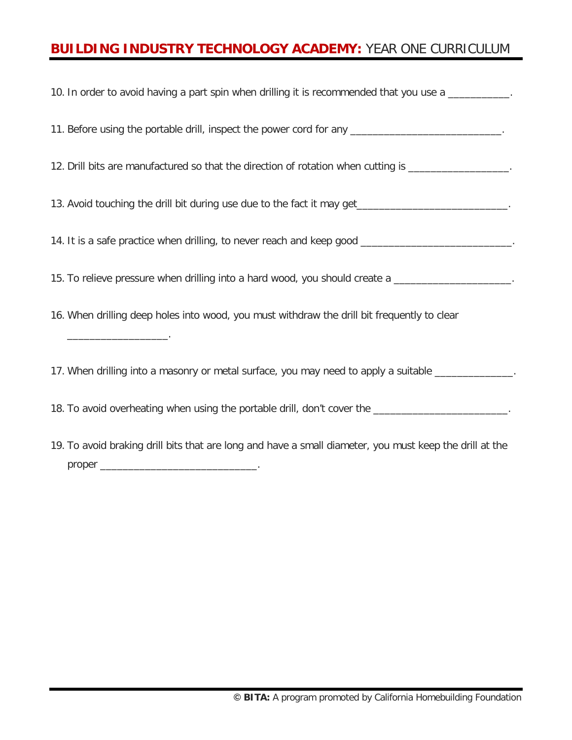| 10. In order to avoid having a part spin when drilling it is recommended that you use a ___________.    |
|---------------------------------------------------------------------------------------------------------|
| 11. Before using the portable drill, inspect the power cord for any ___________________________.        |
| 12. Drill bits are manufactured so that the direction of rotation when cutting is _________________.    |
| 13. Avoid touching the drill bit during use due to the fact it may get ___________________________.     |
| 14. It is a safe practice when drilling, to never reach and keep good ______________________________    |
| 15. To relieve pressure when drilling into a hard wood, you should create a _____________________.      |
| 16. When drilling deep holes into wood, you must withdraw the drill bit frequently to clear             |
| 17. When drilling into a masonry or metal surface, you may need to apply a suitable _______________     |
| 18. To avoid overheating when using the portable drill, don't cover the _________________________.      |
| 19. To avoid braking drill bits that are long and have a small diameter, you must keep the drill at the |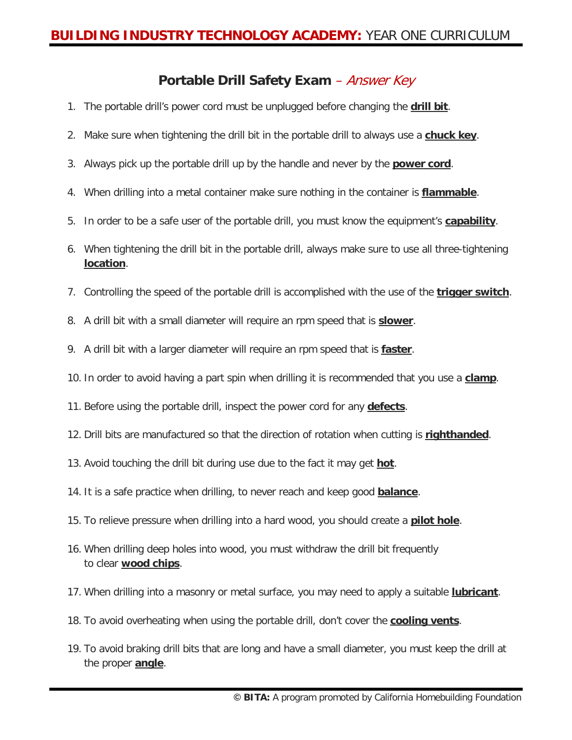### **Portable Drill Safety Exam** – Answer Key

- 1. The portable drill's power cord must be unplugged before changing the **drill bit**.
- 2. Make sure when tightening the drill bit in the portable drill to always use a **chuck key**.
- 3. Always pick up the portable drill up by the handle and never by the **power cord**.
- 4. When drilling into a metal container make sure nothing in the container is **flammable**.
- 5. In order to be a safe user of the portable drill, you must know the equipment's **capability**.
- 6. When tightening the drill bit in the portable drill, always make sure to use all three-tightening **location**.
- 7. Controlling the speed of the portable drill is accomplished with the use of the **trigger switch**.
- 8. A drill bit with a small diameter will require an rpm speed that is **slower**.
- 9. A drill bit with a larger diameter will require an rpm speed that is **faster**.
- 10. In order to avoid having a part spin when drilling it is recommended that you use a **clamp**.
- 11. Before using the portable drill, inspect the power cord for any **defects**.
- 12. Drill bits are manufactured so that the direction of rotation when cutting is **righthanded**.
- 13. Avoid touching the drill bit during use due to the fact it may get **hot**.
- 14. It is a safe practice when drilling, to never reach and keep good **balance**.
- 15. To relieve pressure when drilling into a hard wood, you should create a **pilot hole**.
- 16. When drilling deep holes into wood, you must withdraw the drill bit frequently to clear **wood chips**.
- 17. When drilling into a masonry or metal surface, you may need to apply a suitable **lubricant**.
- 18. To avoid overheating when using the portable drill, don't cover the **cooling vents**.
- 19. To avoid braking drill bits that are long and have a small diameter, you must keep the drill at the proper **angle**.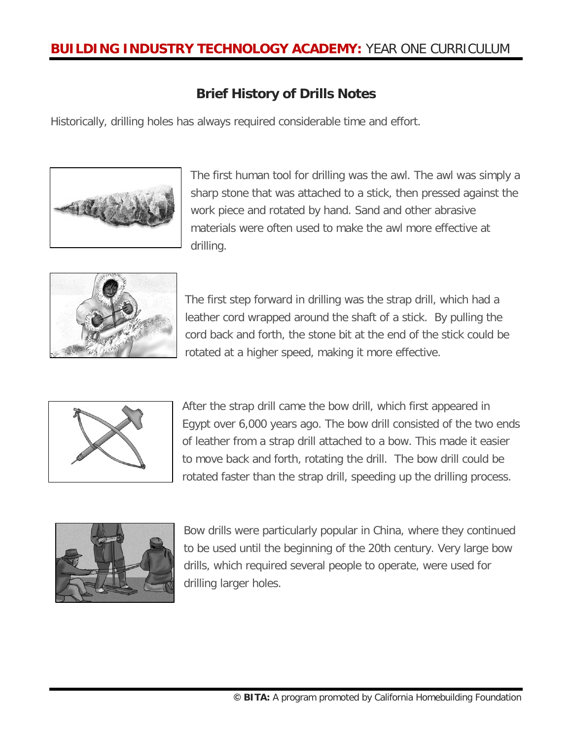### **Brief History of Drills Notes**

Historically, drilling holes has always required considerable time and effort.



The first human tool for drilling was the awl. The awl was simply a sharp stone that was attached to a stick, then pressed against the work piece and rotated by hand. Sand and other abrasive materials were often used to make the awl more effective at drilling.



The first step forward in drilling was the strap drill, which had a leather cord wrapped around the shaft of a stick. By pulling the cord back and forth, the stone bit at the end of the stick could be rotated at a higher speed, making it more effective.



After the strap drill came the bow drill, which first appeared in Egypt over 6,000 years ago. The bow drill consisted of the two ends of leather from a strap drill attached to a bow. This made it easier to move back and forth, rotating the drill. The bow drill could be rotated faster than the strap drill, speeding up the drilling process.



Bow drills were particularly popular in China, where they continued to be used until the beginning of the 20th century. Very large bow drills, which required several people to operate, were used for drilling larger holes.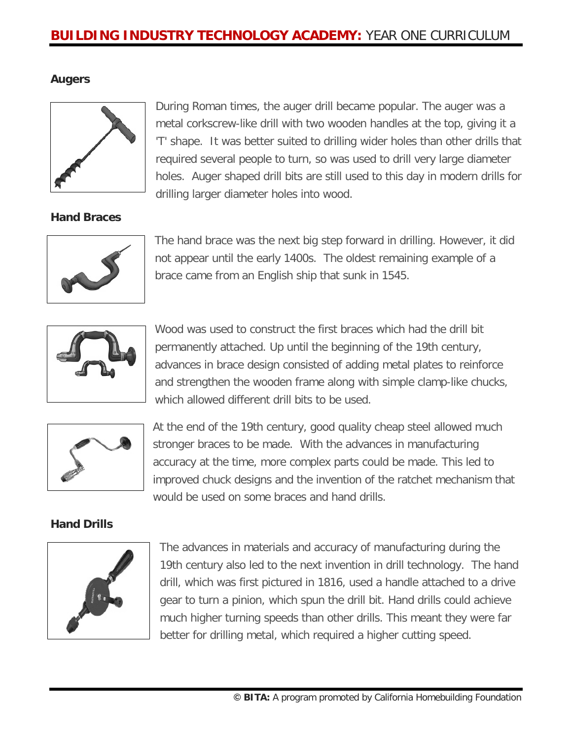#### **Augers**



During Roman times, the auger drill became popular. The auger was a metal corkscrew-like drill with two wooden handles at the top, giving it a 'T' shape. It was better suited to drilling wider holes than other drills that required several people to turn, so was used to drill very large diameter holes. Auger shaped drill bits are still used to this day in modern drills for drilling larger diameter holes into wood.

#### **Hand Braces**



The hand brace was the next big step forward in drilling. However, it did not appear until the early 1400s. The oldest remaining example of a brace came from an English ship that sunk in 1545.



Wood was used to construct the first braces which had the drill bit permanently attached. Up until the beginning of the 19th century, advances in brace design consisted of adding metal plates to reinforce and strengthen the wooden frame along with simple clamp-like chucks, which allowed different drill bits to be used.



At the end of the 19th century, good quality cheap steel allowed much stronger braces to be made. With the advances in manufacturing accuracy at the time, more complex parts could be made. This led to improved chuck designs and the invention of the ratchet mechanism that would be used on some braces and hand drills.

#### **Hand Drills**



The advances in materials and accuracy of manufacturing during the 19th century also led to the next invention in drill technology. The hand drill, which was first pictured in 1816, used a handle attached to a drive gear to turn a pinion, which spun the drill bit. Hand drills could achieve much higher turning speeds than other drills. This meant they were far better for drilling metal, which required a higher cutting speed.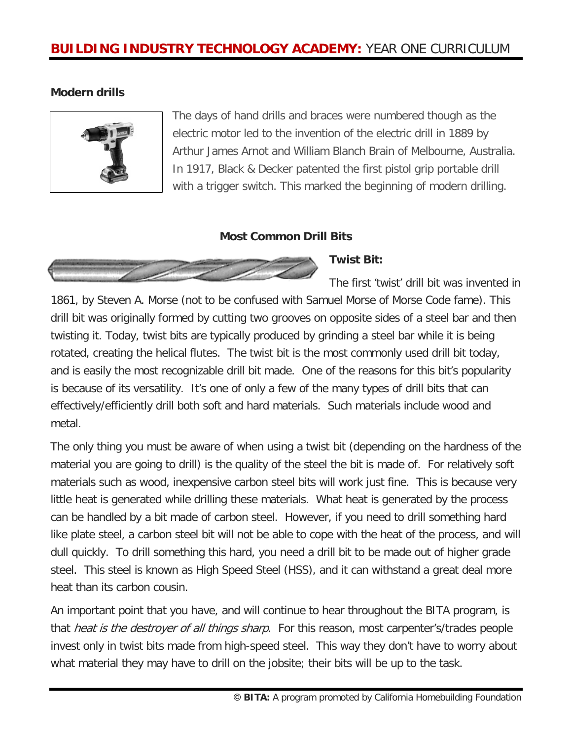#### **Modern drills**



The days of hand drills and braces were numbered though as the electric motor led to the invention of the electric drill in 1889 by Arthur James Arnot and William Blanch Brain of Melbourne, Australia. In 1917, Black & Decker patented the first pistol grip portable drill with a trigger switch. This marked the beginning of modern drilling.

#### **Most Common Drill Bits**



**Twist Bit:** 

The first 'twist' drill bit was invented in 1861, by Steven A. Morse (not to be confused with Samuel Morse of Morse Code fame). This drill bit was originally formed by cutting two grooves on opposite sides of a steel bar and then twisting it. Today, twist bits are typically produced by grinding a steel bar while it is being rotated, creating the helical flutes. The twist bit is the most commonly used drill bit today, and is easily the most recognizable drill bit made. One of the reasons for this bit's popularity is because of its versatility. It's one of only a few of the many types of drill bits that can effectively/efficiently drill both soft and hard materials. Such materials include wood and metal.

The only thing you must be aware of when using a twist bit (depending on the hardness of the material you are going to drill) is the quality of the steel the bit is made of. For relatively soft materials such as wood, inexpensive carbon steel bits will work just fine. This is because very little heat is generated while drilling these materials. What heat is generated by the process can be handled by a bit made of carbon steel. However, if you need to drill something hard like plate steel, a carbon steel bit will not be able to cope with the heat of the process, and will dull quickly. To drill something this hard, you need a drill bit to be made out of higher grade steel. This steel is known as High Speed Steel (HSS), and it can withstand a great deal more heat than its carbon cousin.

An important point that you have, and will continue to hear throughout the BITA program, is that *heat is the destroyer of all things sharp*. For this reason, most carpenter's/trades people invest only in twist bits made from high-speed steel. This way they don't have to worry about what material they may have to drill on the jobsite; their bits will be up to the task.